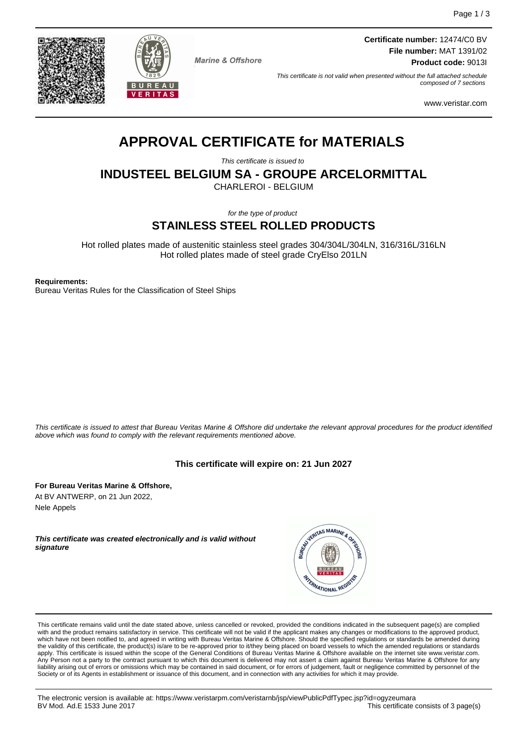



**Marine & Offshore** 

**Certificate number:** 12474/C0 BV **File number:** MAT 1391/02 **Product code:** 9013I

This certificate is not valid when presented without the full attached schedule composed of 7 sections

www.veristar.com

# **APPROVAL CERTIFICATE for MATERIALS**

This certificate is issued to

**INDUSTEEL BELGIUM SA - GROUPE ARCELORMITTAL**

CHARLEROI - BELGIUM

for the type of product

## **STAINLESS STEEL ROLLED PRODUCTS**

Hot rolled plates made of austenitic stainless steel grades 304/304L/304LN, 316/316L/316LN Hot rolled plates made of steel grade CryElso 201LN

**Requirements:**

Bureau Veritas Rules for the Classification of Steel Ships

This certificate is issued to attest that Bureau Veritas Marine & Offshore did undertake the relevant approval procedures for the product identified above which was found to comply with the relevant requirements mentioned above.

## **This certificate will expire on: 21 Jun 2027**

**For Bureau Veritas Marine & Offshore,** At BV ANTWERP, on 21 Jun 2022, Nele Appels

**This certificate was created electronically and is valid without signature**



This certificate remains valid until the date stated above, unless cancelled or revoked, provided the conditions indicated in the subsequent page(s) are complied with and the product remains satisfactory in service. This certificate will not be valid if the applicant makes any changes or modifications to the approved product,<br>which have not been notified to, and agreed in writing w apply. This certificate is issued within the scope of the General Conditions of Bureau Veritas Marine & Offshore available on the internet site www.veristar.com. .<br>Person not a party to the contract pursuant to which this document is delivered may not assert a claim against Bureau Veritas Marine & Offshore for any liability arising out of errors or omissions which may be contained in said document, or for errors of judgement, fault or negligence committed by personnel of the Society or of its Agents in establishment or issuance of this document, and in connection with any activities for which it may provide.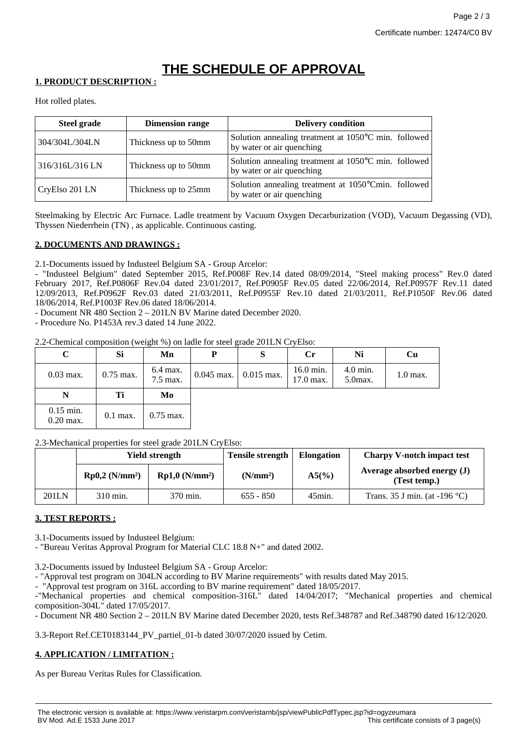## **THE SCHEDULE OF APPROVAL**

## **1. PRODUCT DESCRIPTION :**

Hot rolled plates.

| <b>Steel grade</b> | <b>Dimension range</b> | <b>Delivery condition</b>                                                         |
|--------------------|------------------------|-----------------------------------------------------------------------------------|
| 304/304L/304LN     | Thickness up to 50mm   | Solution annealing treatment at 1050°C min. followed<br>by water or air quenching |
| 316/316L/316 LN    | Thickness up to 50mm   | Solution annealing treatment at 1050°C min. followed<br>by water or air quenching |
| CryElso 201 LN     | Thickness up to 25mm   | Solution annealing treatment at 1050°Cmin. followed<br>by water or air quenching  |

Steelmaking by Electric Arc Furnace. Ladle treatment by Vacuum Oxygen Decarburization (VOD), Vacuum Degassing (VD), Thyssen Niederrhein (TN) , as applicable. Continuous casting.

## **2. DOCUMENTS AND DRAWINGS :**

2.1-Documents issued by Industeel Belgium SA - Group Arcelor:

- "Industeel Belgium" dated September 2015, Ref.P008F Rev.14 dated 08/09/2014, "Steel making process" Rev.0 dated February 2017, Ref.P0806F Rev.04 dated 23/01/2017, Ref.P0905F Rev.05 dated 22/06/2014, Ref.P0957F Rev.11 dated 12/09/2013, Ref.P0962F Rev.03 dated 21/03/2011, Ref.P0955F Rev.10 dated 21/03/2011, Ref.P1050F Rev.06 dated 18/06/2014, Ref.P1003F Rev.06 dated 18/06/2014.

- Document NR 480 Section 2 – 201LN BV Marine dated December 2020.

- Procedure No. P1453A rev.3 dated 14 June 2022.

2.2-Chemical composition (weight %) on ladle for steel grade 201LN CryElso:

| $\mathbf C$ | Si          | Mn                   | P            | S            | $\mathbf{C}$ r         | Ni                     | Cu         |
|-------------|-------------|----------------------|--------------|--------------|------------------------|------------------------|------------|
| $0.03$ max. | $0.75$ max. | 6.4 max.<br>7.5 max. | $0.045$ max. | $0.015$ max. | 16.0 min.<br>17.0 max. | 4.0 min.<br>$5.0$ max. | $1.0$ max. |
|             |             |                      |              |              |                        |                        |            |
| N           | Ti          | Mo                   |              |              |                        |                        |            |

2.3-Mechanical properties for steel grade 201LN CryElso:

|       | Yield strength   |                            | <b>Tensile strength</b> | <b>Elongation</b> | <b>Charpy V-notch impact test</b>           |
|-------|------------------|----------------------------|-------------------------|-------------------|---------------------------------------------|
|       | $Rp0,2 (N/mm^2)$ | Rp1,0 (N/mm <sup>2</sup> ) | (N/mm <sup>2</sup> )    | $A5(\%)$          | Average absorbed energy (J)<br>(Test temp.) |
| 201LN | 310 min.         | 370 min.                   | $655 - 850$             | $45$ min.         | Trans. 35 J min. (at -196 $^{\circ}$ C)     |

## **3. TEST REPORTS :**

3.1-Documents issued by Industeel Belgium:

- "Bureau Veritas Approval Program for Material CLC 18.8 N+" and dated 2002.

3.2-Documents issued by Industeel Belgium SA - Group Arcelor:

- "Approval test program on 304LN according to BV Marine requirements" with results dated May 2015.

- "Approval test program on 316L according to BV marine requirement" dated 18/05/2017.

-"Mechanical properties and chemical composition-316L" dated 14/04/2017; "Mechanical properties and chemical composition-304L" dated 17/05/2017.

- Document NR 480 Section 2 – 201LN BV Marine dated December 2020, tests Ref.348787 and Ref.348790 dated 16/12/2020.

3.3-Report Ref.CET0183144\_PV\_partiel\_01-b dated 30/07/2020 issued by Cetim.

## **4. APPLICATION / LIMITATION :**

As per Bureau Veritas Rules for Classification.